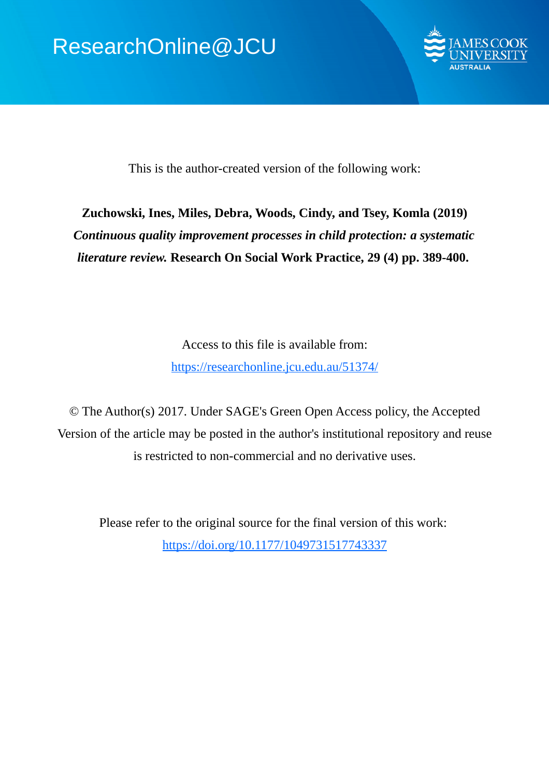

This is the author-created version of the following work:

# **Zuchowski, Ines, Miles, Debra, Woods, Cindy, and Tsey, Komla (2019)** *Continuous quality improvement processes in child protection: a systematic literature review.* **Research On Social Work Practice, 29 (4) pp. 389-400.**

Access to this file is available from: https://researchonline.jcu.edu.au/51374/

© The Author(s) 2017. Under SAGE's Green Open Access policy, the Accepted Version of the article may be posted in the author's institutional repository and reuse is restricted to non-commercial and no derivative uses.

Please refer to the original source for the final version of this work: https://doi.org/10.1177/1049731517743337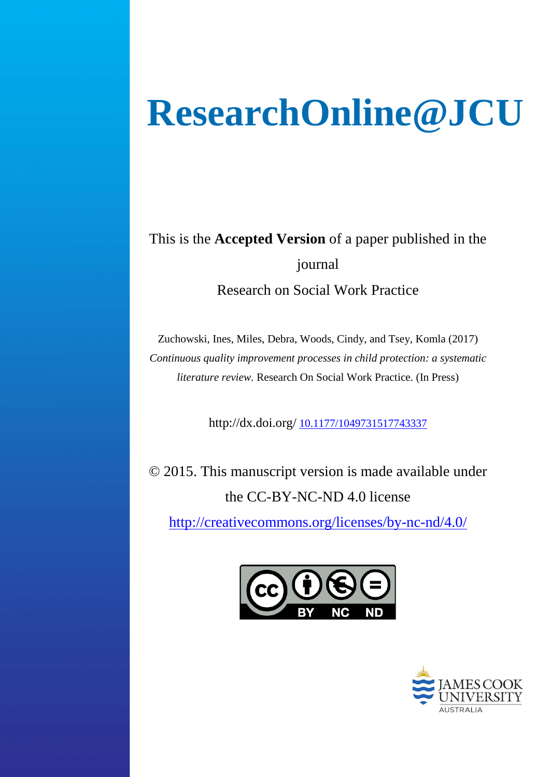# **ResearchOnline@JCU**

This is the **Accepted Version** of a paper published in the journal Research on Social Work Practice

Zuchowski, Ines, Miles, Debra, Woods, Cindy, and Tsey, Komla (2017) *Continuous quality improvement processes in child protection: a systematic literature review.* Research On Social Work Practice. (In Press)

http://dx.doi.org/ [10.1177/1049731517743337](http://dx.doi.org/10.1177/1049731517743337)

© 2015. This manuscript version is made available under the CC-BY-NC-ND 4.0 license

<http://creativecommons.org/licenses/by-nc-nd/4.0/>



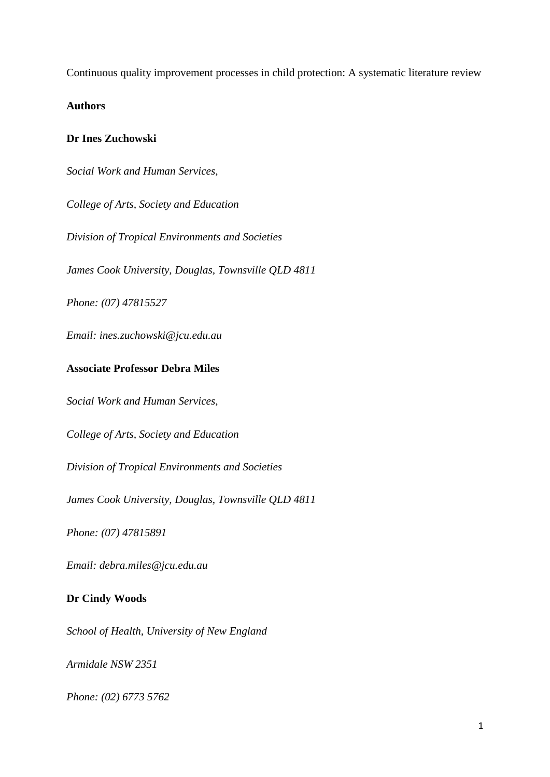Continuous quality improvement processes in child protection: A systematic literature review

**Authors**

# **Dr Ines Zuchowski**

*Social Work and Human Services,* 

*College of Arts, Society and Education*

*Division of Tropical Environments and Societies*

*James Cook University, Douglas, Townsville QLD 4811*

*Phone: (07) 47815527*

*Email: ines.zuchowski@jcu.edu.au*

# **Associate Professor Debra Miles**

*Social Work and Human Services,* 

*College of Arts, Society and Education*

*Division of Tropical Environments and Societies*

*James Cook University, Douglas, Townsville QLD 4811*

*Phone: (07) 47815891*

*Email: debra.miles@jcu.edu.au*

# **Dr Cindy Woods**

*School of Health, University of New England*

*Armidale NSW 2351*

*Phone: (02) 6773 5762*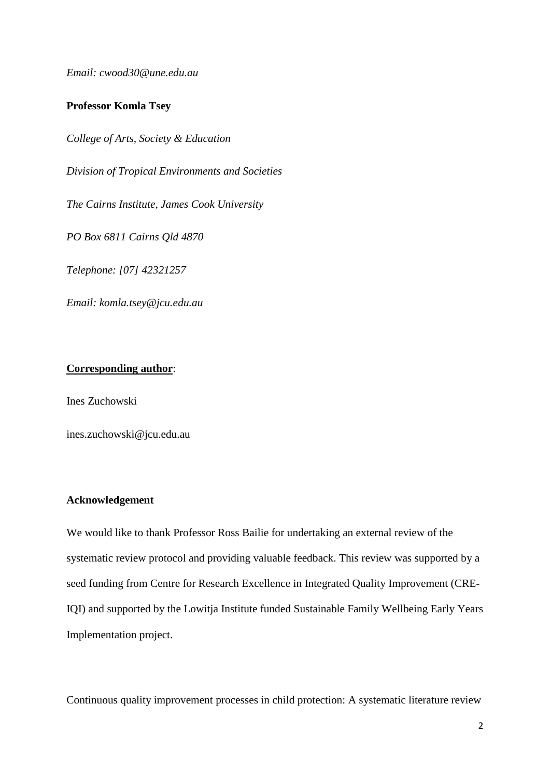*Email: cwood30@une.edu.au*

# **Professor Komla Tsey**

*College of Arts, Society & Education*

*Division of Tropical Environments and Societies*

*The Cairns Institute, James Cook University*

*PO Box 6811 Cairns Qld 4870*

*Telephone: [07] 42321257*

*Email: komla.tsey@jcu.edu.au*

# **Corresponding author**:

Ines Zuchowski

ines.zuchowski@jcu.edu.au

# **Acknowledgement**

We would like to thank Professor Ross Bailie for undertaking an external review of the systematic review protocol and providing valuable feedback. This review was supported by a seed funding from Centre for Research Excellence in Integrated Quality Improvement (CRE-IQI) and supported by the Lowitja Institute funded Sustainable Family Wellbeing Early Years Implementation project.

Continuous quality improvement processes in child protection: A systematic literature review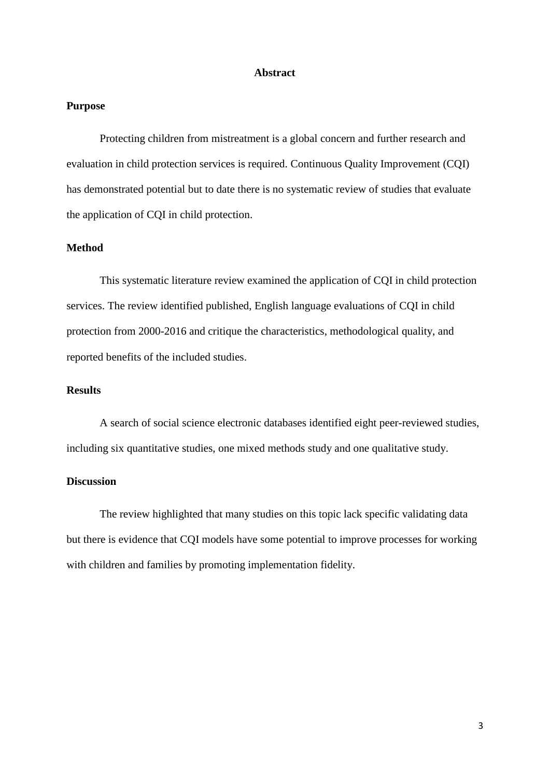# **Abstract**

# **Purpose**

Protecting children from mistreatment is a global concern and further research and evaluation in child protection services is required. Continuous Quality Improvement (CQI) has demonstrated potential but to date there is no systematic review of studies that evaluate the application of CQI in child protection.

# **Method**

This systematic literature review examined the application of CQI in child protection services. The review identified published, English language evaluations of CQI in child protection from 2000-2016 and critique the characteristics, methodological quality, and reported benefits of the included studies.

# **Results**

A search of social science electronic databases identified eight peer-reviewed studies, including six quantitative studies, one mixed methods study and one qualitative study.

# **Discussion**

The review highlighted that many studies on this topic lack specific validating data but there is evidence that CQI models have some potential to improve processes for working with children and families by promoting implementation fidelity.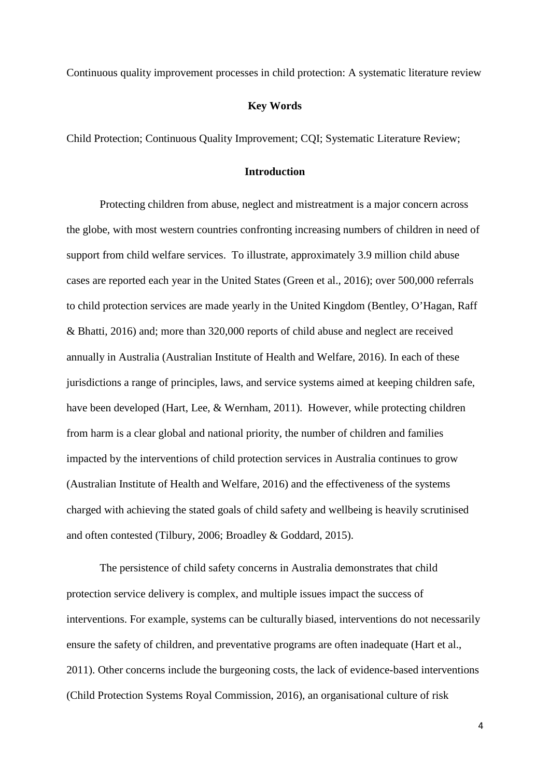Continuous quality improvement processes in child protection: A systematic literature review

# **Key Words**

Child Protection; Continuous Quality Improvement; CQI; Systematic Literature Review;

# **Introduction**

Protecting children from abuse, neglect and mistreatment is a major concern across the globe, with most western countries confronting increasing numbers of children in need of support from child welfare services. To illustrate, approximately 3.9 million child abuse cases are reported each year in the United States (Green et al., 2016); over 500,000 referrals to child protection services are made yearly in the United Kingdom (Bentley, O'Hagan, Raff & Bhatti, 2016) and; more than 320,000 reports of child abuse and neglect are received annually in Australia (Australian Institute of Health and Welfare, 2016). In each of these jurisdictions a range of principles, laws, and service systems aimed at keeping children safe, have been developed (Hart, Lee, & Wernham, 2011). However, while protecting children from harm is a clear global and national priority, the number of children and families impacted by the interventions of child protection services in Australia continues to grow (Australian Institute of Health and Welfare, 2016) and the effectiveness of the systems charged with achieving the stated goals of child safety and wellbeing is heavily scrutinised and often contested (Tilbury, 2006; Broadley & Goddard, 2015).

The persistence of child safety concerns in Australia demonstrates that child protection service delivery is complex, and multiple issues impact the success of interventions. For example, systems can be culturally biased, interventions do not necessarily ensure the safety of children, and preventative programs are often inadequate (Hart et al., 2011). Other concerns include the burgeoning costs, the lack of evidence-based interventions (Child Protection Systems Royal Commission, 2016), an organisational culture of risk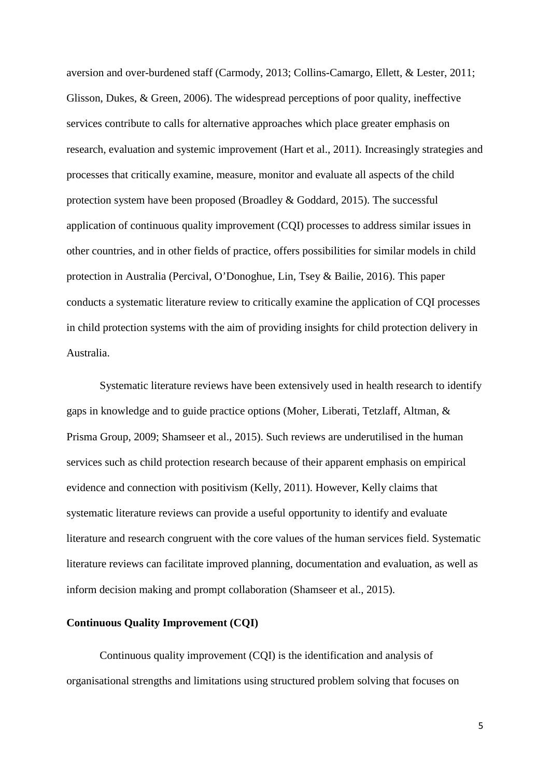aversion and over-burdened staff (Carmody, 2013; Collins-Camargo, Ellett, & Lester, 2011; Glisson, Dukes, & Green, 2006). The widespread perceptions of poor quality, ineffective services contribute to calls for alternative approaches which place greater emphasis on research, evaluation and systemic improvement (Hart et al., 2011). Increasingly strategies and processes that critically examine, measure, monitor and evaluate all aspects of the child protection system have been proposed (Broadley & Goddard, 2015). The successful application of continuous quality improvement (CQI) processes to address similar issues in other countries, and in other fields of practice, offers possibilities for similar models in child protection in Australia (Percival, O'Donoghue, Lin, Tsey & Bailie, 2016). This paper conducts a systematic literature review to critically examine the application of CQI processes in child protection systems with the aim of providing insights for child protection delivery in Australia.

Systematic literature reviews have been extensively used in health research to identify gaps in knowledge and to guide practice options (Moher, Liberati, Tetzlaff, Altman, & Prisma Group, 2009; Shamseer et al., 2015). Such reviews are underutilised in the human services such as child protection research because of their apparent emphasis on empirical evidence and connection with positivism (Kelly, 2011). However, Kelly claims that systematic literature reviews can provide a useful opportunity to identify and evaluate literature and research congruent with the core values of the human services field. Systematic literature reviews can facilitate improved planning, documentation and evaluation, as well as inform decision making and prompt collaboration (Shamseer et al., 2015).

# **Continuous Quality Improvement (CQI)**

Continuous quality improvement (CQI) is the identification and analysis of organisational strengths and limitations using structured problem solving that focuses on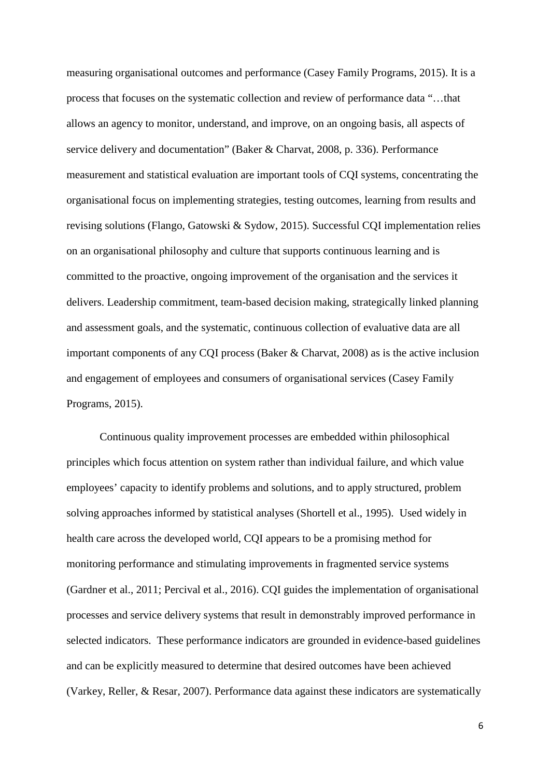measuring organisational outcomes and performance (Casey Family Programs, 2015). It is a process that focuses on the systematic collection and review of performance data "…that allows an agency to monitor, understand, and improve, on an ongoing basis, all aspects of service delivery and documentation" (Baker & Charvat, 2008, p. 336). Performance measurement and statistical evaluation are important tools of CQI systems, concentrating the organisational focus on implementing strategies, testing outcomes, learning from results and revising solutions (Flango, Gatowski & Sydow, 2015). Successful CQI implementation relies on an organisational philosophy and culture that supports continuous learning and is committed to the proactive, ongoing improvement of the organisation and the services it delivers. Leadership commitment, team-based decision making, strategically linked planning and assessment goals, and the systematic, continuous collection of evaluative data are all important components of any CQI process (Baker & Charvat, 2008) as is the active inclusion and engagement of employees and consumers of organisational services (Casey Family Programs, 2015).

Continuous quality improvement processes are embedded within philosophical principles which focus attention on system rather than individual failure, and which value employees' capacity to identify problems and solutions, and to apply structured, problem solving approaches informed by statistical analyses (Shortell et al., 1995). Used widely in health care across the developed world, CQI appears to be a promising method for monitoring performance and stimulating improvements in fragmented service systems (Gardner et al., 2011; Percival et al., 2016). CQI guides the implementation of organisational processes and service delivery systems that result in demonstrably improved performance in selected indicators. These performance indicators are grounded in evidence-based guidelines and can be explicitly measured to determine that desired outcomes have been achieved (Varkey, Reller, & Resar, 2007). Performance data against these indicators are systematically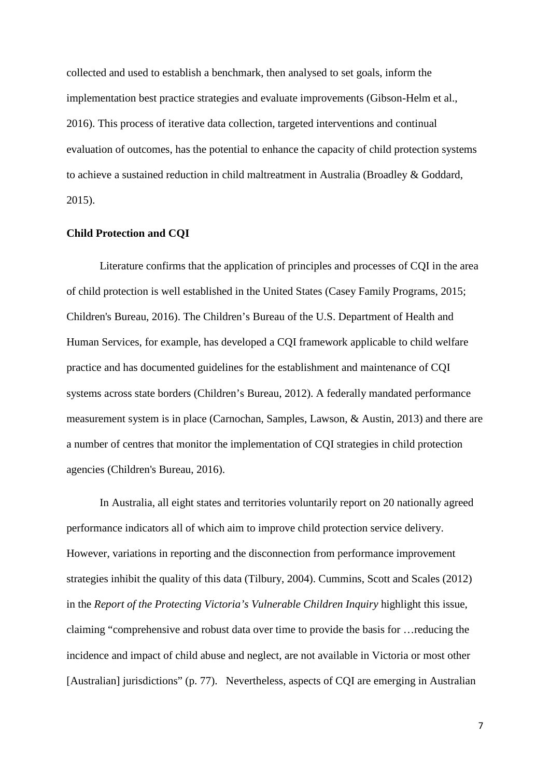collected and used to establish a benchmark, then analysed to set goals, inform the implementation best practice strategies and evaluate improvements (Gibson-Helm et al., 2016). This process of iterative data collection, targeted interventions and continual evaluation of outcomes, has the potential to enhance the capacity of child protection systems to achieve a sustained reduction in child maltreatment in Australia (Broadley & Goddard, 2015).

# **Child Protection and CQI**

Literature confirms that the application of principles and processes of CQI in the area of child protection is well established in the United States (Casey Family Programs, 2015; Children's Bureau, 2016). The Children's Bureau of the U.S. Department of Health and Human Services, for example, has developed a CQI framework applicable to child welfare practice and has documented guidelines for the establishment and maintenance of CQI systems across state borders (Children's Bureau, 2012). A federally mandated performance measurement system is in place (Carnochan, Samples, Lawson, & Austin, 2013) and there are a number of centres that monitor the implementation of CQI strategies in child protection agencies (Children's Bureau, 2016).

In Australia, all eight states and territories voluntarily report on 20 nationally agreed performance indicators all of which aim to improve child protection service delivery. However, variations in reporting and the disconnection from performance improvement strategies inhibit the quality of this data (Tilbury, 2004). Cummins, Scott and Scales (2012) in the *Report of the Protecting Victoria's Vulnerable Children Inquiry* highlight this issue, claiming "comprehensive and robust data over time to provide the basis for …reducing the incidence and impact of child abuse and neglect, are not available in Victoria or most other [Australian] jurisdictions" (p. 77). Nevertheless, aspects of CQI are emerging in Australian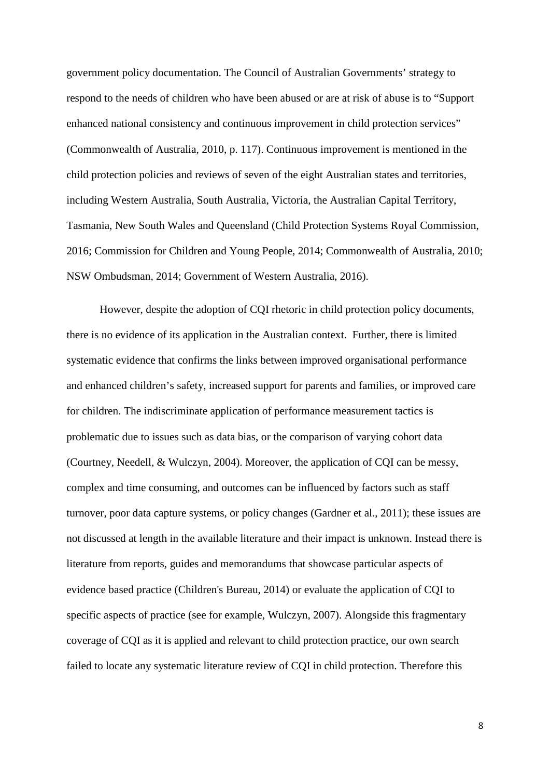government policy documentation. The Council of Australian Governments' strategy to respond to the needs of children who have been abused or are at risk of abuse is to "Support enhanced national consistency and continuous improvement in child protection services" (Commonwealth of Australia, 2010, p. 117). Continuous improvement is mentioned in the child protection policies and reviews of seven of the eight Australian states and territories, including Western Australia, South Australia, Victoria, the Australian Capital Territory, Tasmania, New South Wales and Queensland (Child Protection Systems Royal Commission, 2016; Commission for Children and Young People, 2014; Commonwealth of Australia, 2010; NSW Ombudsman, 2014; Government of Western Australia, 2016).

However, despite the adoption of CQI rhetoric in child protection policy documents, there is no evidence of its application in the Australian context. Further, there is limited systematic evidence that confirms the links between improved organisational performance and enhanced children's safety, increased support for parents and families, or improved care for children. The indiscriminate application of performance measurement tactics is problematic due to issues such as data bias, or the comparison of varying cohort data (Courtney, Needell, & Wulczyn, 2004). Moreover, the application of CQI can be messy, complex and time consuming, and outcomes can be influenced by factors such as staff turnover, poor data capture systems, or policy changes (Gardner et al., 2011); these issues are not discussed at length in the available literature and their impact is unknown. Instead there is literature from reports, guides and memorandums that showcase particular aspects of evidence based practice (Children's Bureau, 2014) or evaluate the application of CQI to specific aspects of practice (see for example, Wulczyn, 2007). Alongside this fragmentary coverage of CQI as it is applied and relevant to child protection practice, our own search failed to locate any systematic literature review of CQI in child protection. Therefore this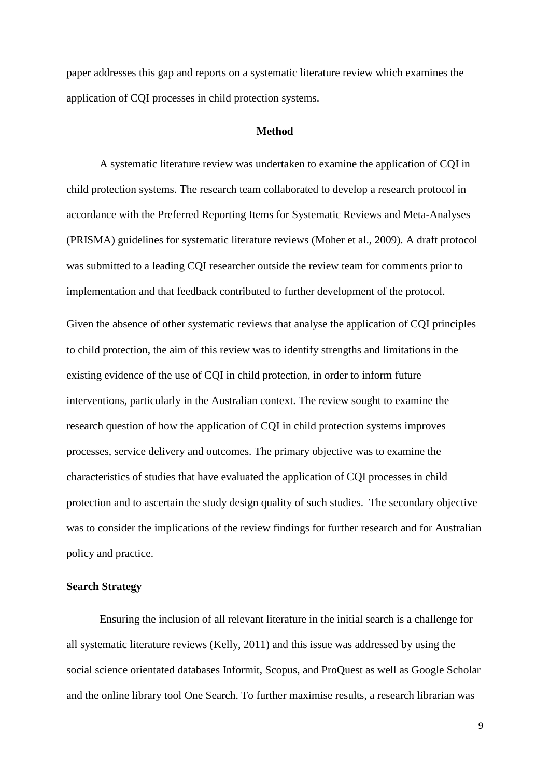paper addresses this gap and reports on a systematic literature review which examines the application of CQI processes in child protection systems.

# **Method**

A systematic literature review was undertaken to examine the application of CQI in child protection systems. The research team collaborated to develop a research protocol in accordance with the Preferred Reporting Items for Systematic Reviews and Meta-Analyses (PRISMA) guidelines for systematic literature reviews (Moher et al., 2009). A draft protocol was submitted to a leading CQI researcher outside the review team for comments prior to implementation and that feedback contributed to further development of the protocol.

Given the absence of other systematic reviews that analyse the application of CQI principles to child protection, the aim of this review was to identify strengths and limitations in the existing evidence of the use of CQI in child protection, in order to inform future interventions, particularly in the Australian context. The review sought to examine the research question of how the application of CQI in child protection systems improves processes, service delivery and outcomes. The primary objective was to examine the characteristics of studies that have evaluated the application of CQI processes in child protection and to ascertain the study design quality of such studies. The secondary objective was to consider the implications of the review findings for further research and for Australian policy and practice.

# **Search Strategy**

Ensuring the inclusion of all relevant literature in the initial search is a challenge for all systematic literature reviews (Kelly, 2011) and this issue was addressed by using the social science orientated databases Informit, Scopus, and ProQuest as well as Google Scholar and the online library tool One Search. To further maximise results, a research librarian was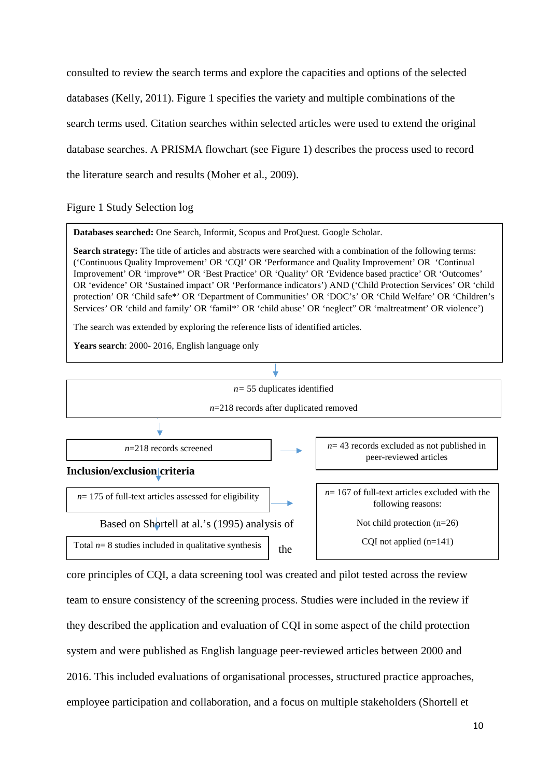consulted to review the search terms and explore the capacities and options of the selected databases (Kelly, 2011). Figure 1 specifies the variety and multiple combinations of the search terms used. Citation searches within selected articles were used to extend the original database searches. A PRISMA flowchart (see Figure 1) describes the process used to record the literature search and results (Moher et al., 2009).

Figure 1 Study Selection log

**Databases searched:** One Search, Informit, Scopus and ProQuest. Google Scholar.

**Search strategy:** The title of articles and abstracts were searched with a combination of the following terms: ('Continuous Quality Improvement' OR 'CQI' OR 'Performance and Quality Improvement' OR 'Continual Improvement' OR 'improve\*' OR 'Best Practice' OR 'Quality' OR 'Evidence based practice' OR 'Outcomes' OR 'evidence' OR 'Sustained impact' OR 'Performance indicators') AND ('Child Protection Services' OR 'child protection' OR 'Child safe\*' OR 'Department of Communities' OR 'DOC's' OR 'Child Welfare' OR 'Children's Services' OR 'child and family' OR 'famil\*' OR 'child abuse' OR 'neglect" OR 'maltreatment' OR violence')

The search was extended by exploring the reference lists of identified articles.

**Years search**: 2000- 2016, English language only



core principles of CQI, a data screening tool was created and pilot tested across the review team to ensure consistency of the screening process. Studies were included in the review if they described the application and evaluation of CQI in some aspect of the child protection system and were published as English language peer-reviewed articles between 2000 and 2016. This included evaluations of organisational processes, structured practice approaches, employee participation and collaboration, and a focus on multiple stakeholders (Shortell et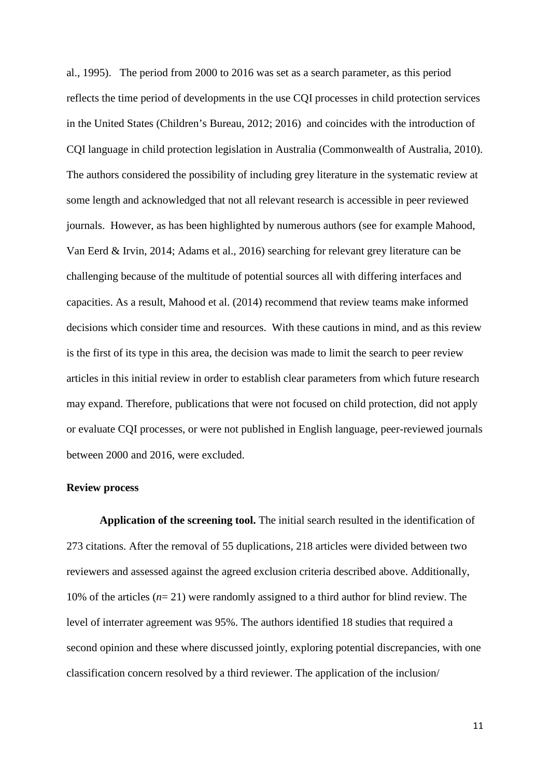al., 1995). The period from 2000 to 2016 was set as a search parameter, as this period reflects the time period of developments in the use CQI processes in child protection services in the United States (Children's Bureau, 2012; 2016) and coincides with the introduction of CQI language in child protection legislation in Australia (Commonwealth of Australia, 2010). The authors considered the possibility of including grey literature in the systematic review at some length and acknowledged that not all relevant research is accessible in peer reviewed journals. However, as has been highlighted by numerous authors (see for example Mahood, Van Eerd & Irvin, 2014; Adams et al., 2016) searching for relevant grey literature can be challenging because of the multitude of potential sources all with differing interfaces and capacities. As a result, Mahood et al. (2014) recommend that review teams make informed decisions which consider time and resources. With these cautions in mind, and as this review is the first of its type in this area, the decision was made to limit the search to peer review articles in this initial review in order to establish clear parameters from which future research may expand. Therefore, publications that were not focused on child protection, did not apply or evaluate CQI processes, or were not published in English language, peer-reviewed journals between 2000 and 2016, were excluded.

# **Review process**

**Application of the screening tool.** The initial search resulted in the identification of 273 citations. After the removal of 55 duplications, 218 articles were divided between two reviewers and assessed against the agreed exclusion criteria described above. Additionally, 10% of the articles (*n*= 21) were randomly assigned to a third author for blind review. The level of interrater agreement was 95%. The authors identified 18 studies that required a second opinion and these where discussed jointly, exploring potential discrepancies, with one classification concern resolved by a third reviewer. The application of the inclusion/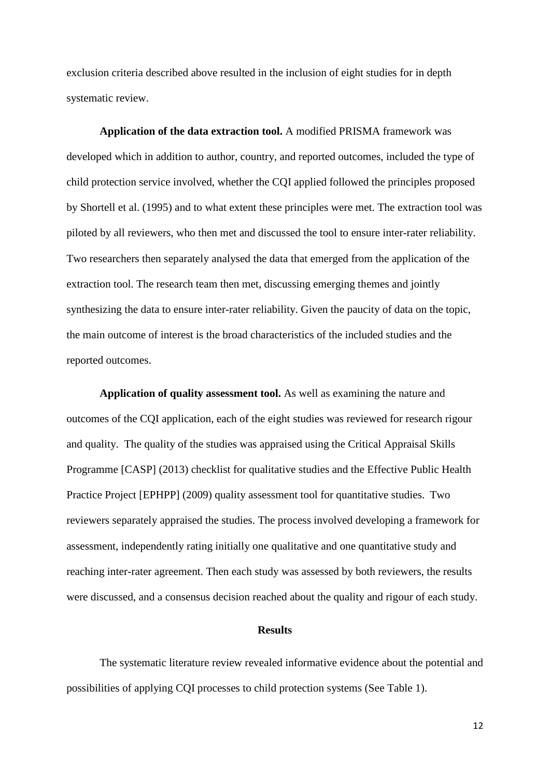exclusion criteria described above resulted in the inclusion of eight studies for in depth systematic review.

**Application of the data extraction tool.** A modified PRISMA framework was developed which in addition to author, country, and reported outcomes, included the type of child protection service involved, whether the CQI applied followed the principles proposed by Shortell et al. (1995) and to what extent these principles were met. The extraction tool was piloted by all reviewers, who then met and discussed the tool to ensure inter-rater reliability. Two researchers then separately analysed the data that emerged from the application of the extraction tool. The research team then met, discussing emerging themes and jointly synthesizing the data to ensure inter-rater reliability. Given the paucity of data on the topic, the main outcome of interest is the broad characteristics of the included studies and the reported outcomes.

**Application of quality assessment tool.** As well as examining the nature and outcomes of the CQI application, each of the eight studies was reviewed for research rigour and quality. The quality of the studies was appraised using the Critical Appraisal Skills Programme [CASP] (2013) checklist for qualitative studies and the Effective Public Health Practice Project [EPHPP] (2009) quality assessment tool for quantitative studies. Two reviewers separately appraised the studies. The process involved developing a framework for assessment, independently rating initially one qualitative and one quantitative study and reaching inter-rater agreement. Then each study was assessed by both reviewers, the results were discussed, and a consensus decision reached about the quality and rigour of each study.

#### **Results**

The systematic literature review revealed informative evidence about the potential and possibilities of applying CQI processes to child protection systems (See Table 1).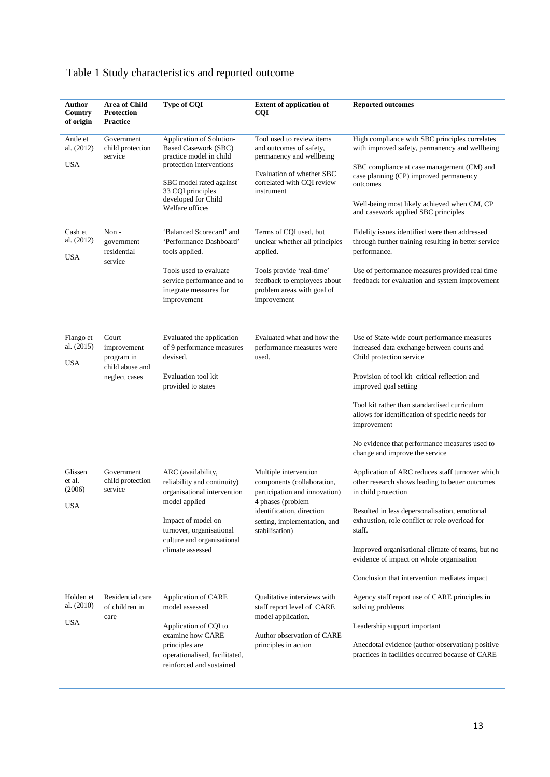| Author<br>Country<br>of origin            | <b>Area of Child</b><br><b>Protection</b><br><b>Practice</b>           | Type of CQI                                                                                                                                                                                              | <b>Extent of application of</b><br><b>CQI</b>                                                                                                                                            | <b>Reported outcomes</b>                                                                                                                                                                                                                                                                                                                                                                              |
|-------------------------------------------|------------------------------------------------------------------------|----------------------------------------------------------------------------------------------------------------------------------------------------------------------------------------------------------|------------------------------------------------------------------------------------------------------------------------------------------------------------------------------------------|-------------------------------------------------------------------------------------------------------------------------------------------------------------------------------------------------------------------------------------------------------------------------------------------------------------------------------------------------------------------------------------------------------|
| Antle et<br>al. (2012)<br><b>USA</b>      | Government<br>child protection<br>service                              | Application of Solution-<br><b>Based Casework (SBC)</b><br>practice model in child<br>protection interventions<br>SBC model rated against<br>33 CQI principles<br>developed for Child<br>Welfare offices | Tool used to review items<br>and outcomes of safety,<br>permanency and wellbeing<br>Evaluation of whether SBC<br>correlated with CQI review<br>instrument                                | High compliance with SBC principles correlates<br>with improved safety, permanency and wellbeing<br>SBC compliance at case management (CM) and<br>case planning (CP) improved permanency<br>outcomes<br>Well-being most likely achieved when CM, CP<br>and casework applied SBC principles                                                                                                            |
| Cash et<br>al. (2012)<br><b>USA</b>       | Non-<br>government<br>residential<br>service                           | 'Balanced Scorecard' and<br>'Performance Dashboard'<br>tools applied.<br>Tools used to evaluate<br>service performance and to<br>integrate measures for<br>improvement                                   | Terms of CQI used, but<br>unclear whether all principles<br>applied.<br>Tools provide 'real-time'<br>feedback to employees about<br>problem areas with goal of<br>improvement            | Fidelity issues identified were then addressed<br>through further training resulting in better service<br>performance.<br>Use of performance measures provided real time<br>feedback for evaluation and system improvement                                                                                                                                                                            |
| Flango et<br>al. (2015)<br><b>USA</b>     | Court<br>improvement<br>program in<br>child abuse and<br>neglect cases | Evaluated the application<br>of 9 performance measures<br>devised.<br>Evaluation tool kit<br>provided to states                                                                                          | Evaluated what and how the<br>performance measures were<br>used.                                                                                                                         | Use of State-wide court performance measures<br>increased data exchange between courts and<br>Child protection service<br>Provision of tool kit critical reflection and<br>improved goal setting<br>Tool kit rather than standardised curriculum<br>allows for identification of specific needs for<br>improvement<br>No evidence that performance measures used to<br>change and improve the service |
| Glissen<br>et al.<br>(2006)<br><b>USA</b> | Government<br>child protection<br>service                              | ARC (availability,<br>reliability and continuity)<br>organisational intervention<br>model applied<br>Impact of model on<br>turnover, organisational<br>culture and organisational<br>climate assessed    | Multiple intervention<br>components (collaboration,<br>participation and innovation)<br>4 phases (problem<br>identification, direction<br>setting, implementation, and<br>stabilisation) | Application of ARC reduces staff turnover which<br>other research shows leading to better outcomes<br>in child protection<br>Resulted in less depersonalisation, emotional<br>exhaustion, role conflict or role overload for<br>staff.<br>Improved organisational climate of teams, but no<br>evidence of impact on whole organisation<br>Conclusion that intervention mediates impact                |
| Holden et<br>al. (2010)<br><b>USA</b>     | Residential care<br>of children in<br>care                             | Application of CARE<br>model assessed<br>Application of CQI to<br>examine how CARE<br>principles are<br>operationalised, facilitated,<br>reinforced and sustained                                        | Qualitative interviews with<br>staff report level of CARE<br>model application.<br>Author observation of CARE<br>principles in action                                                    | Agency staff report use of CARE principles in<br>solving problems<br>Leadership support important<br>Anecdotal evidence (author observation) positive<br>practices in facilities occurred because of CARE                                                                                                                                                                                             |

# Table 1 Study characteristics and reported outcome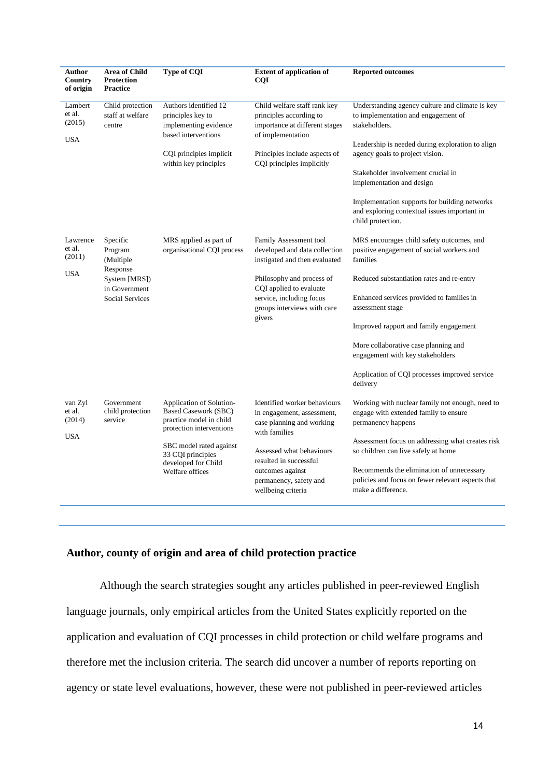| <b>Author</b><br>Country<br>of origin      | Area of Child<br><b>Protection</b><br><b>Practice</b>                                                    | <b>Type of CQI</b>                                                                                                                                                                                | <b>Extent of application of</b><br><b>COI</b>                                                                                                                                                                                      | <b>Reported outcomes</b>                                                                                                                                                                                                                                                                                                                                                                            |
|--------------------------------------------|----------------------------------------------------------------------------------------------------------|---------------------------------------------------------------------------------------------------------------------------------------------------------------------------------------------------|------------------------------------------------------------------------------------------------------------------------------------------------------------------------------------------------------------------------------------|-----------------------------------------------------------------------------------------------------------------------------------------------------------------------------------------------------------------------------------------------------------------------------------------------------------------------------------------------------------------------------------------------------|
| Lambert<br>et al.<br>(2015)<br><b>USA</b>  | Child protection<br>staff at welfare<br>centre                                                           | Authors identified 12<br>principles key to<br>implementing evidence<br>based interventions<br>CQI principles implicit<br>within key principles                                                    | Child welfare staff rank key<br>principles according to<br>importance at different stages<br>of implementation<br>Principles include aspects of<br>CQI principles implicitly                                                       | Understanding agency culture and climate is key<br>to implementation and engagement of<br>stakeholders.<br>Leadership is needed during exploration to align<br>agency goals to project vision.<br>Stakeholder involvement crucial in<br>implementation and design<br>Implementation supports for building networks<br>and exploring contextual issues important in<br>child protection.             |
| Lawrence<br>et al.<br>(2011)<br><b>USA</b> | Specific<br>Program<br>(Multiple<br>Response<br>System [MRS])<br>in Government<br><b>Social Services</b> | MRS applied as part of<br>organisational CQI process                                                                                                                                              | Family Assessment tool<br>developed and data collection<br>instigated and then evaluated<br>Philosophy and process of<br>CQI applied to evaluate<br>service, including focus<br>groups interviews with care<br>givers              | MRS encourages child safety outcomes, and<br>positive engagement of social workers and<br>families<br>Reduced substantiation rates and re-entry<br>Enhanced services provided to families in<br>assessment stage<br>Improved rapport and family engagement<br>More collaborative case planning and<br>engagement with key stakeholders<br>Application of CQI processes improved service<br>delivery |
| van Zyl<br>et al.<br>(2014)<br><b>USA</b>  | Government<br>child protection<br>service                                                                | Application of Solution-<br>Based Casework (SBC)<br>practice model in child<br>protection interventions<br>SBC model rated against<br>33 CQI principles<br>developed for Child<br>Welfare offices | Identified worker behaviours<br>in engagement, assessment,<br>case planning and working<br>with families<br>Assessed what behaviours<br>resulted in successful<br>outcomes against<br>permanency, safety and<br>wellbeing criteria | Working with nuclear family not enough, need to<br>engage with extended family to ensure<br>permanency happens<br>Assessment focus on addressing what creates risk<br>so children can live safely at home<br>Recommends the elimination of unnecessary<br>policies and focus on fewer relevant aspects that<br>make a difference.                                                                   |

# **Author, county of origin and area of child protection practice**

Although the search strategies sought any articles published in peer-reviewed English language journals, only empirical articles from the United States explicitly reported on the application and evaluation of CQI processes in child protection or child welfare programs and therefore met the inclusion criteria. The search did uncover a number of reports reporting on agency or state level evaluations, however, these were not published in peer-reviewed articles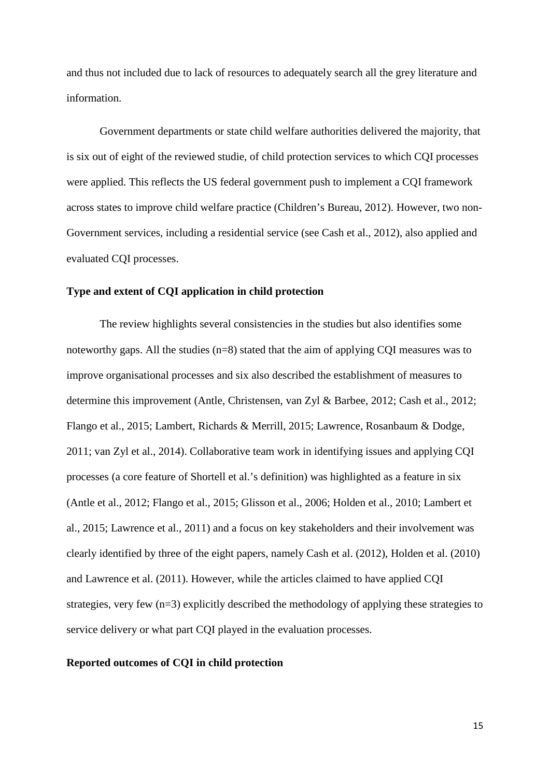and thus not included due to lack of resources to adequately search all the grey literature and information.

Government departments or state child welfare authorities delivered the majority, that is six out of eight of the reviewed studie, of child protection services to which CQI processes were applied. This reflects the US federal government push to implement a CQI framework across states to improve child welfare practice (Children's Bureau, 2012). However, two non-Government services, including a residential service (see Cash et al., 2012), also applied and evaluated CQI processes.

#### **Type and extent of CQI application in child protection**

The review highlights several consistencies in the studies but also identifies some noteworthy gaps. All the studies (n=8) stated that the aim of applying CQI measures was to improve organisational processes and six also described the establishment of measures to determine this improvement (Antle, Christensen, van Zyl & Barbee, 2012; Cash et al., 2012; Flango et al., 2015; Lambert, Richards & Merrill, 2015; Lawrence, Rosanbaum & Dodge, 2011; van Zyl et al., 2014). Collaborative team work in identifying issues and applying CQI processes (a core feature of Shortell et al.'s definition) was highlighted as a feature in six (Antle et al., 2012; Flango et al., 2015; Glisson et al., 2006; Holden et al., 2010; Lambert et al., 2015; Lawrence et al., 2011) and a focus on key stakeholders and their involvement was clearly identified by three of the eight papers, namely Cash et al. (2012), Holden et al. (2010) and Lawrence et al. (2011). However, while the articles claimed to have applied CQI strategies, very few (n=3) explicitly described the methodology of applying these strategies to service delivery or what part CQI played in the evaluation processes.

#### **Reported outcomes of CQI in child protection**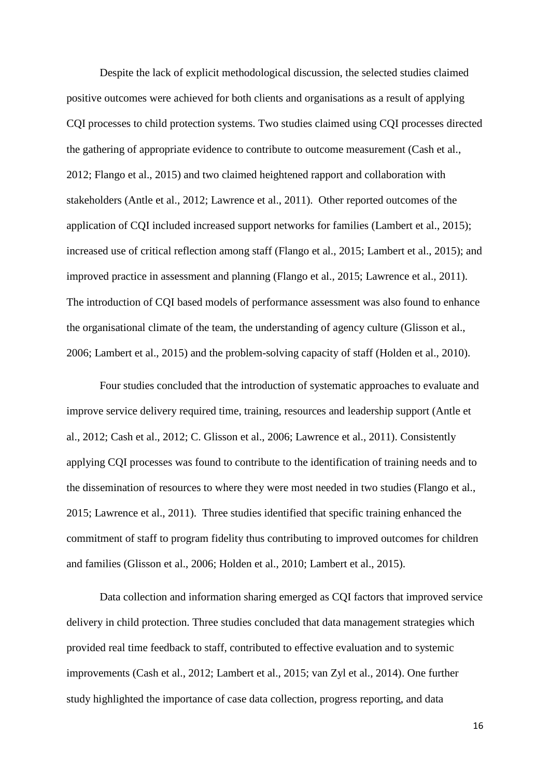Despite the lack of explicit methodological discussion, the selected studies claimed positive outcomes were achieved for both clients and organisations as a result of applying CQI processes to child protection systems. Two studies claimed using CQI processes directed the gathering of appropriate evidence to contribute to outcome measurement (Cash et al., 2012; Flango et al., 2015) and two claimed heightened rapport and collaboration with stakeholders (Antle et al., 2012; Lawrence et al., 2011). Other reported outcomes of the application of CQI included increased support networks for families (Lambert et al., 2015); increased use of critical reflection among staff (Flango et al., 2015; Lambert et al., 2015); and improved practice in assessment and planning (Flango et al., 2015; Lawrence et al., 2011). The introduction of CQI based models of performance assessment was also found to enhance the organisational climate of the team, the understanding of agency culture (Glisson et al., 2006; Lambert et al., 2015) and the problem-solving capacity of staff (Holden et al., 2010).

Four studies concluded that the introduction of systematic approaches to evaluate and improve service delivery required time, training, resources and leadership support (Antle et al., 2012; Cash et al., 2012; C. Glisson et al., 2006; Lawrence et al., 2011). Consistently applying CQI processes was found to contribute to the identification of training needs and to the dissemination of resources to where they were most needed in two studies (Flango et al., 2015; Lawrence et al., 2011). Three studies identified that specific training enhanced the commitment of staff to program fidelity thus contributing to improved outcomes for children and families (Glisson et al., 2006; Holden et al., 2010; Lambert et al., 2015).

Data collection and information sharing emerged as CQI factors that improved service delivery in child protection. Three studies concluded that data management strategies which provided real time feedback to staff, contributed to effective evaluation and to systemic improvements (Cash et al., 2012; Lambert et al., 2015; van Zyl et al., 2014). One further study highlighted the importance of case data collection, progress reporting, and data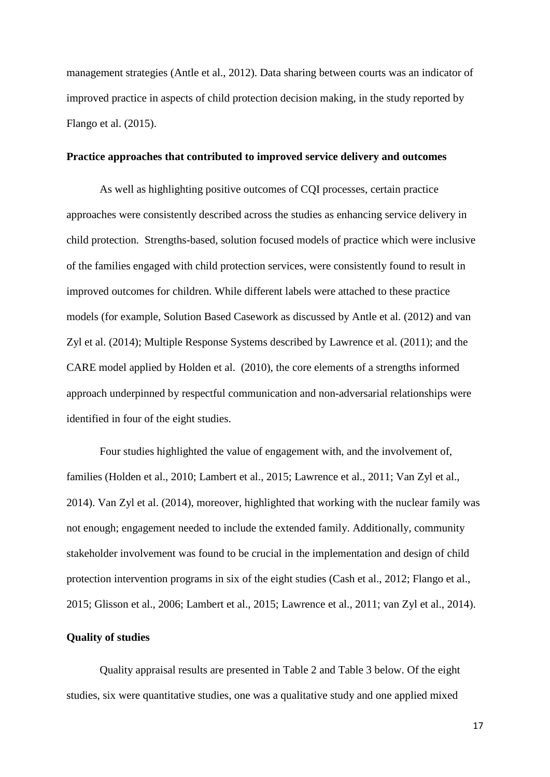management strategies (Antle et al., 2012). Data sharing between courts was an indicator of improved practice in aspects of child protection decision making, in the study reported by Flango et al. (2015).

# **Practice approaches that contributed to improved service delivery and outcomes**

As well as highlighting positive outcomes of CQI processes, certain practice approaches were consistently described across the studies as enhancing service delivery in child protection. Strengths-based, solution focused models of practice which were inclusive of the families engaged with child protection services, were consistently found to result in improved outcomes for children. While different labels were attached to these practice models (for example, Solution Based Casework as discussed by Antle et al. (2012) and van Zyl et al. (2014); Multiple Response Systems described by Lawrence et al. (2011); and the CARE model applied by Holden et al. (2010), the core elements of a strengths informed approach underpinned by respectful communication and non-adversarial relationships were identified in four of the eight studies.

Four studies highlighted the value of engagement with, and the involvement of, families (Holden et al., 2010; Lambert et al., 2015; Lawrence et al., 2011; Van Zyl et al., 2014). Van Zyl et al. (2014), moreover, highlighted that working with the nuclear family was not enough; engagement needed to include the extended family. Additionally, community stakeholder involvement was found to be crucial in the implementation and design of child protection intervention programs in six of the eight studies (Cash et al., 2012; Flango et al., 2015; Glisson et al., 2006; Lambert et al., 2015; Lawrence et al., 2011; van Zyl et al., 2014).

# **Quality of studies**

Quality appraisal results are presented in Table 2 and Table 3 below. Of the eight studies, six were quantitative studies, one was a qualitative study and one applied mixed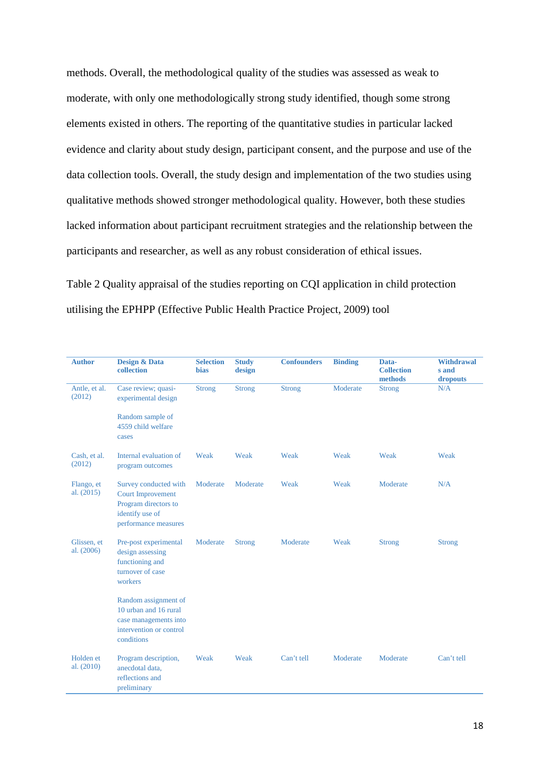methods. Overall, the methodological quality of the studies was assessed as weak to moderate, with only one methodologically strong study identified, though some strong elements existed in others. The reporting of the quantitative studies in particular lacked evidence and clarity about study design, participant consent, and the purpose and use of the data collection tools. Overall, the study design and implementation of the two studies using qualitative methods showed stronger methodological quality. However, both these studies lacked information about participant recruitment strategies and the relationship between the participants and researcher, as well as any robust consideration of ethical issues.

Table 2 Quality appraisal of the studies reporting on CQI application in child protection utilising the EPHPP (Effective Public Health Practice Project, 2009) tool

| <b>Author</b>             | <b>Design &amp; Data</b><br>collection                                                                               | <b>Selection</b><br><b>bias</b> | <b>Study</b><br>design | <b>Confounders</b> | <b>Binding</b> | Data-<br><b>Collection</b><br>methods | <b>Withdrawal</b><br>s and<br>dropouts |
|---------------------------|----------------------------------------------------------------------------------------------------------------------|---------------------------------|------------------------|--------------------|----------------|---------------------------------------|----------------------------------------|
| Antle, et al.<br>(2012)   | Case review; quasi-<br>experimental design                                                                           | <b>Strong</b>                   | <b>Strong</b>          | <b>Strong</b>      | Moderate       | <b>Strong</b>                         | N/A                                    |
|                           | Random sample of<br>4559 child welfare<br>cases                                                                      |                                 |                        |                    |                |                                       |                                        |
| Cash, et al.<br>(2012)    | Internal evaluation of<br>program outcomes                                                                           | Weak                            | Weak                   | Weak               | Weak           | Weak                                  | Weak                                   |
| Flango, et<br>al. (2015)  | Survey conducted with<br><b>Court Improvement</b><br>Program directors to<br>identify use of<br>performance measures | Moderate                        | Moderate               | Weak               | Weak           | Moderate                              | N/A                                    |
| Glissen, et<br>al. (2006) | Pre-post experimental<br>design assessing<br>functioning and<br>turnover of case<br>workers                          | Moderate                        | <b>Strong</b>          | Moderate           | Weak           | <b>Strong</b>                         | <b>Strong</b>                          |
|                           | Random assignment of<br>10 urban and 16 rural<br>case managements into<br>intervention or control<br>conditions      |                                 |                        |                    |                |                                       |                                        |
| Holden et<br>al. $(2010)$ | Program description,<br>anecdotal data,<br>reflections and<br>preliminary                                            | Weak                            | Weak                   | Can't tell         | Moderate       | Moderate                              | Can't tell                             |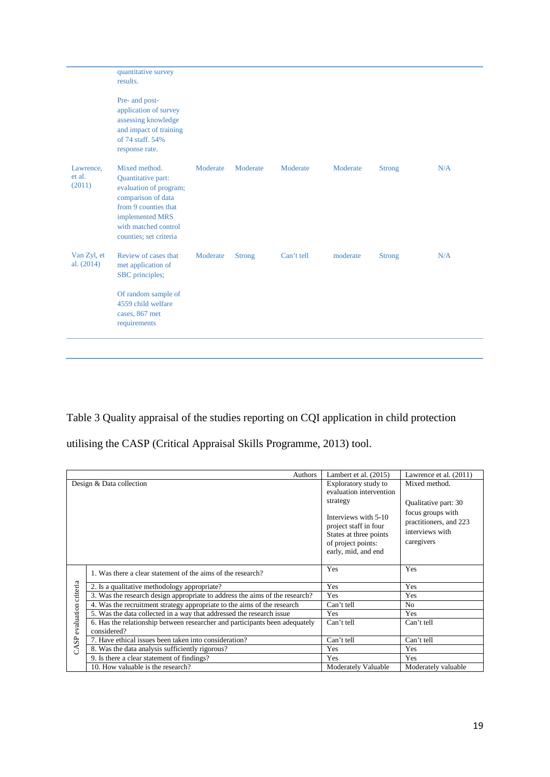|                               | quantitative survey<br>results.<br>Pre- and post-                                                                                                                                |          |               |            |          |               |     |
|-------------------------------|----------------------------------------------------------------------------------------------------------------------------------------------------------------------------------|----------|---------------|------------|----------|---------------|-----|
|                               | application of survey<br>assessing knowledge<br>and impact of training<br>of 74 staff. 54%<br>response rate.                                                                     |          |               |            |          |               |     |
| Lawrence,<br>et al.<br>(2011) | Mixed method.<br>Quantitative part:<br>evaluation of program;<br>comparison of data<br>from 9 counties that<br>implemented MRS<br>with matched control<br>counties; set criteria | Moderate | Moderate      | Moderate   | Moderate | <b>Strong</b> | N/A |
| Van Zyl, et<br>al. $(2014)$   | Review of cases that<br>met application of<br>SBC principles;<br>Of random sample of<br>4559 child welfare<br>cases, 867 met<br>requirements                                     | Moderate | <b>Strong</b> | Can't tell | moderate | <b>Strong</b> | N/A |
|                               |                                                                                                                                                                                  |          |               |            |          |               |     |

Table 3 Quality appraisal of the studies reporting on CQI application in child protection

utilising the CASP (Critical Appraisal Skills Programme, 2013) tool.

|                     | Authors                                                                                    | Lambert et al. $(2015)$                                                                                                                                                             | Lawrence et al. (2011)                                                                                                |
|---------------------|--------------------------------------------------------------------------------------------|-------------------------------------------------------------------------------------------------------------------------------------------------------------------------------------|-----------------------------------------------------------------------------------------------------------------------|
|                     | Design & Data collection                                                                   | Exploratory study to<br>evaluation intervention<br>strategy<br>Interviews with 5-10<br>project staff in four<br>States at three points<br>of project points:<br>early, mid, and end | Mixed method.<br>Qualitative part: 30<br>focus groups with<br>practitioners, and 223<br>interviews with<br>caregivers |
|                     | 1. Was there a clear statement of the aims of the research?                                | Yes                                                                                                                                                                                 | Yes                                                                                                                   |
|                     | 2. Is a qualitative methodology appropriate?                                               | Yes                                                                                                                                                                                 | Yes                                                                                                                   |
|                     | 3. Was the research design appropriate to address the aims of the research?                | Yes                                                                                                                                                                                 | Yes                                                                                                                   |
|                     | 4. Was the recruitment strategy appropriate to the aims of the research                    | Can't tell                                                                                                                                                                          | No                                                                                                                    |
|                     | 5. Was the data collected in a way that addressed the research issue                       | Yes                                                                                                                                                                                 | Yes                                                                                                                   |
| evaluation criteria | 6. Has the relationship between researcher and participants been adequately<br>considered? | Can't tell                                                                                                                                                                          | Can't tell                                                                                                            |
| S <sub>2</sub>      | 7. Have ethical issues been taken into consideration?                                      | Can't tell                                                                                                                                                                          | Can't tell                                                                                                            |
| E                   | 8. Was the data analysis sufficiently rigorous?                                            | Yes                                                                                                                                                                                 | Yes                                                                                                                   |
|                     | 9. Is there a clear statement of findings?                                                 | Yes                                                                                                                                                                                 | Yes                                                                                                                   |
|                     | 10. How valuable is the research?                                                          | <b>Moderately Valuable</b>                                                                                                                                                          | Moderately valuable                                                                                                   |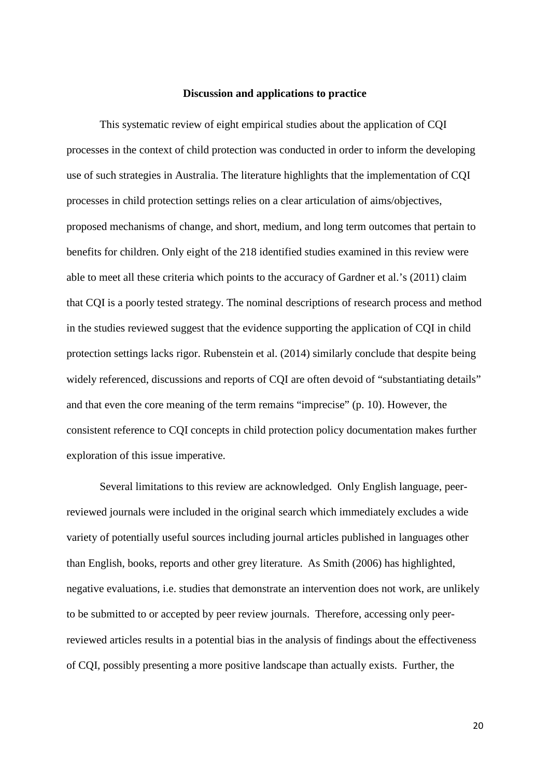# **Discussion and applications to practice**

This systematic review of eight empirical studies about the application of CQI processes in the context of child protection was conducted in order to inform the developing use of such strategies in Australia. The literature highlights that the implementation of CQI processes in child protection settings relies on a clear articulation of aims/objectives, proposed mechanisms of change, and short, medium, and long term outcomes that pertain to benefits for children. Only eight of the 218 identified studies examined in this review were able to meet all these criteria which points to the accuracy of Gardner et al.'s (2011) claim that CQI is a poorly tested strategy. The nominal descriptions of research process and method in the studies reviewed suggest that the evidence supporting the application of CQI in child protection settings lacks rigor. Rubenstein et al. (2014) similarly conclude that despite being widely referenced, discussions and reports of CQI are often devoid of "substantiating details" and that even the core meaning of the term remains "imprecise" (p. 10). However, the consistent reference to CQI concepts in child protection policy documentation makes further exploration of this issue imperative.

Several limitations to this review are acknowledged. Only English language, peerreviewed journals were included in the original search which immediately excludes a wide variety of potentially useful sources including journal articles published in languages other than English, books, reports and other grey literature. As Smith (2006) has highlighted, negative evaluations, i.e. studies that demonstrate an intervention does not work, are unlikely to be submitted to or accepted by peer review journals. Therefore, accessing only peerreviewed articles results in a potential bias in the analysis of findings about the effectiveness of CQI, possibly presenting a more positive landscape than actually exists. Further, the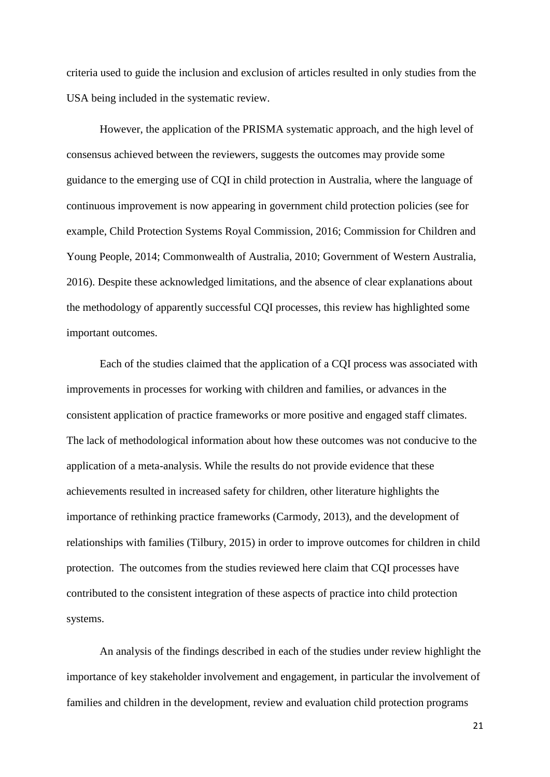criteria used to guide the inclusion and exclusion of articles resulted in only studies from the USA being included in the systematic review.

However, the application of the PRISMA systematic approach, and the high level of consensus achieved between the reviewers, suggests the outcomes may provide some guidance to the emerging use of CQI in child protection in Australia, where the language of continuous improvement is now appearing in government child protection policies (see for example, Child Protection Systems Royal Commission, 2016; Commission for Children and Young People, 2014; Commonwealth of Australia, 2010; Government of Western Australia, 2016). Despite these acknowledged limitations, and the absence of clear explanations about the methodology of apparently successful CQI processes, this review has highlighted some important outcomes.

Each of the studies claimed that the application of a CQI process was associated with improvements in processes for working with children and families, or advances in the consistent application of practice frameworks or more positive and engaged staff climates. The lack of methodological information about how these outcomes was not conducive to the application of a meta-analysis. While the results do not provide evidence that these achievements resulted in increased safety for children, other literature highlights the importance of rethinking practice frameworks (Carmody, 2013), and the development of relationships with families (Tilbury, 2015) in order to improve outcomes for children in child protection. The outcomes from the studies reviewed here claim that CQI processes have contributed to the consistent integration of these aspects of practice into child protection systems.

An analysis of the findings described in each of the studies under review highlight the importance of key stakeholder involvement and engagement, in particular the involvement of families and children in the development, review and evaluation child protection programs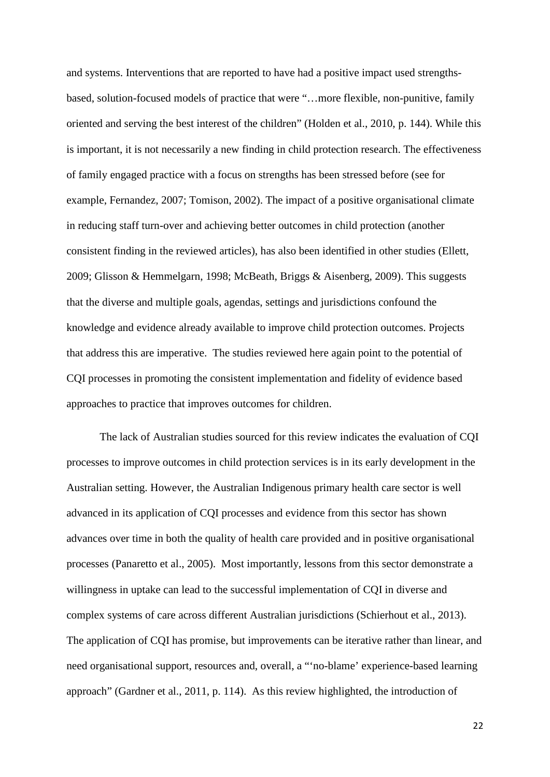and systems. Interventions that are reported to have had a positive impact used strengthsbased, solution-focused models of practice that were "…more flexible, non-punitive, family oriented and serving the best interest of the children" (Holden et al., 2010, p. 144). While this is important, it is not necessarily a new finding in child protection research. The effectiveness of family engaged practice with a focus on strengths has been stressed before (see for example, Fernandez, 2007; Tomison, 2002). The impact of a positive organisational climate in reducing staff turn-over and achieving better outcomes in child protection (another consistent finding in the reviewed articles), has also been identified in other studies (Ellett, 2009; Glisson & Hemmelgarn, 1998; McBeath, Briggs & Aisenberg, 2009). This suggests that the diverse and multiple goals, agendas, settings and jurisdictions confound the knowledge and evidence already available to improve child protection outcomes. Projects that address this are imperative. The studies reviewed here again point to the potential of CQI processes in promoting the consistent implementation and fidelity of evidence based approaches to practice that improves outcomes for children.

The lack of Australian studies sourced for this review indicates the evaluation of CQI processes to improve outcomes in child protection services is in its early development in the Australian setting. However, the Australian Indigenous primary health care sector is well advanced in its application of CQI processes and evidence from this sector has shown advances over time in both the quality of health care provided and in positive organisational processes (Panaretto et al., 2005). Most importantly, lessons from this sector demonstrate a willingness in uptake can lead to the successful implementation of CQI in diverse and complex systems of care across different Australian jurisdictions (Schierhout et al., 2013). The application of CQI has promise, but improvements can be iterative rather than linear, and need organisational support, resources and, overall, a "'no-blame' experience-based learning approach" (Gardner et al., 2011, p. 114). As this review highlighted, the introduction of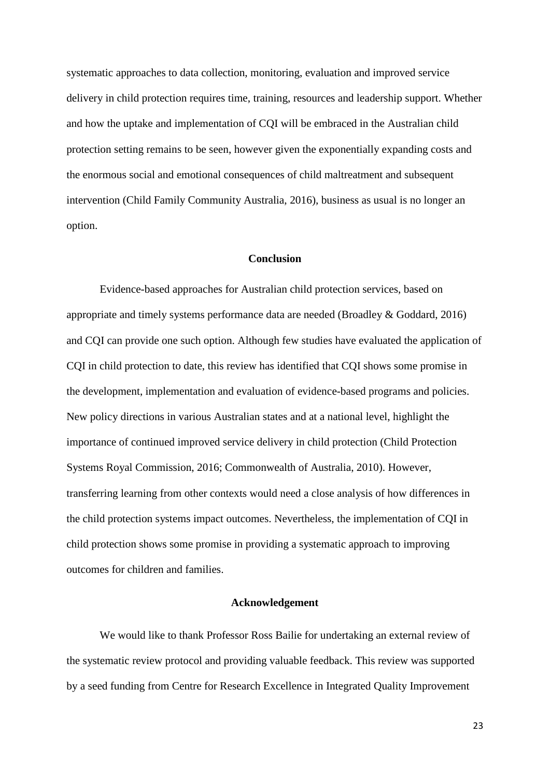systematic approaches to data collection, monitoring, evaluation and improved service delivery in child protection requires time, training, resources and leadership support. Whether and how the uptake and implementation of CQI will be embraced in the Australian child protection setting remains to be seen, however given the exponentially expanding costs and the enormous social and emotional consequences of child maltreatment and subsequent intervention (Child Family Community Australia, 2016), business as usual is no longer an option.

# **Conclusion**

Evidence-based approaches for Australian child protection services, based on appropriate and timely systems performance data are needed (Broadley & Goddard, 2016) and CQI can provide one such option. Although few studies have evaluated the application of CQI in child protection to date, this review has identified that CQI shows some promise in the development, implementation and evaluation of evidence-based programs and policies. New policy directions in various Australian states and at a national level, highlight the importance of continued improved service delivery in child protection (Child Protection Systems Royal Commission, 2016; Commonwealth of Australia, 2010). However, transferring learning from other contexts would need a close analysis of how differences in the child protection systems impact outcomes. Nevertheless, the implementation of CQI in child protection shows some promise in providing a systematic approach to improving outcomes for children and families.

# **Acknowledgement**

We would like to thank Professor Ross Bailie for undertaking an external review of the systematic review protocol and providing valuable feedback. This review was supported by a seed funding from Centre for Research Excellence in Integrated Quality Improvement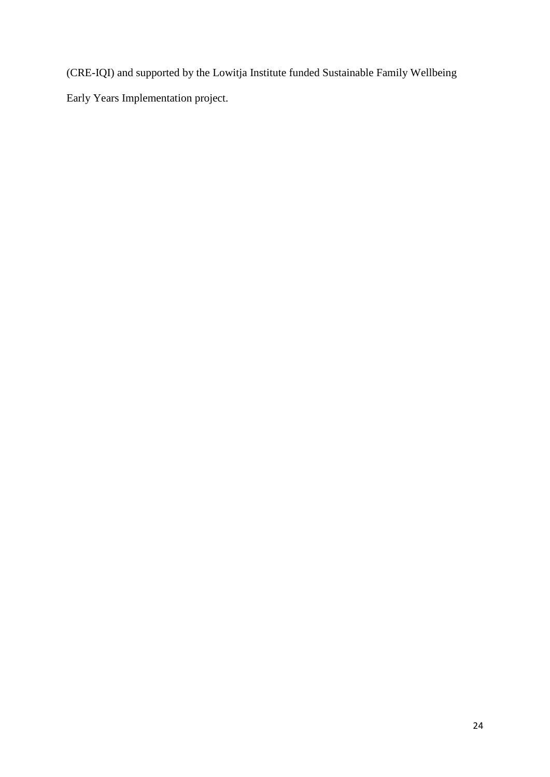(CRE-IQI) and supported by the Lowitja Institute funded Sustainable Family Wellbeing Early Years Implementation project.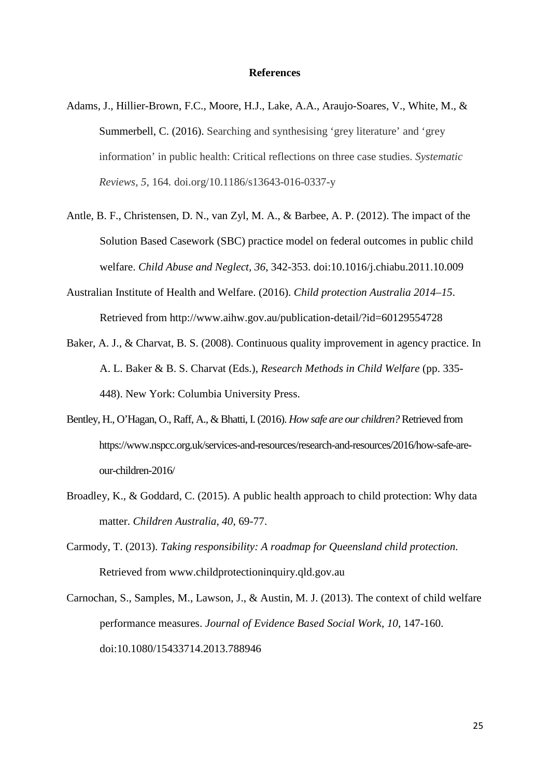#### **References**

- Adams, J., Hillier-Brown, F.C., Moore, H.J., Lake, A.A., Araujo-Soares, V., White, M., & Summerbell, C. (2016). Searching and synthesising 'grey literature' and 'grey information' in public health: Critical reflections on three case studies. *Systematic Reviews, 5*, 164*.* doi.org/10.1186/s13643-016-0337-y
- Antle, B. F., Christensen, D. N., van Zyl, M. A., & Barbee, A. P. (2012). The impact of the Solution Based Casework (SBC) practice model on federal outcomes in public child welfare. *Child Abuse and Neglect, 36*, 342-353. doi:10.1016/j.chiabu.2011.10.009
- Australian Institute of Health and Welfare. (2016). *Child protection Australia 2014–15*. Retrieved from http://www.aihw.gov.au/publication-detail/?id=60129554728
- Baker, A. J., & Charvat, B. S. (2008). Continuous quality improvement in agency practice. In A. L. Baker & B. S. Charvat (Eds.), *Research Methods in Child Welfare* (pp. 335- 448). New York: Columbia University Press.
- Bentley, H., O'Hagan, O., Raff, A., & Bhatti, I. (2016). *How safe are our children?* Retrieved from https://www.nspcc.org.uk/services-and-resources/research-and-resources/2016/how-safe-areour-children-2016/
- Broadley, K., & Goddard, C. (2015). A public health approach to child protection: Why data matter. *Children Australia*, *40*, 69-77.
- Carmody, T. (2013). *Taking responsibility: A roadmap for Queensland child protection*. Retrieved from www.childprotectioninquiry.qld.gov.au
- Carnochan, S., Samples, M., Lawson, J., & Austin, M. J. (2013). The context of child welfare performance measures. *Journal of Evidence Based Social Work, 10*, 147-160. doi:10.1080/15433714.2013.788946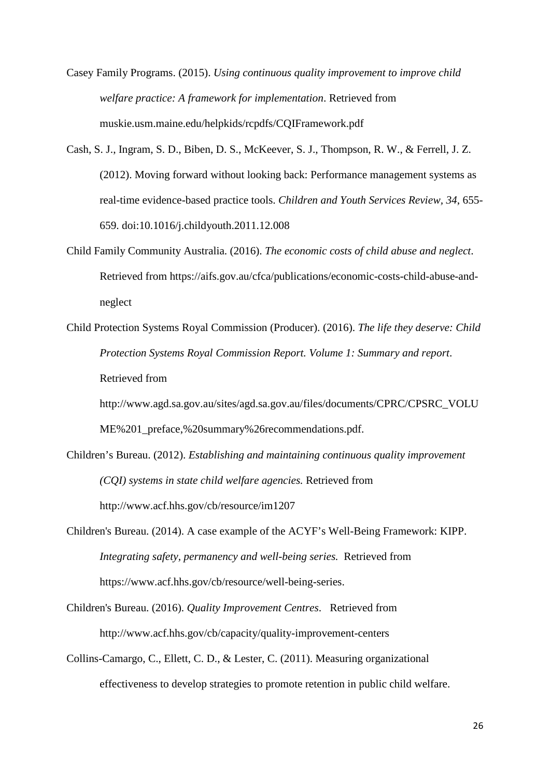- Casey Family Programs. (2015). *Using continuous quality improvement to improve child welfare practice: A framework for implementation*. Retrieved from muskie.usm.maine.edu/helpkids/rcpdfs/CQIFramework.pdf
- Cash, S. J., Ingram, S. D., Biben, D. S., McKeever, S. J., Thompson, R. W., & Ferrell, J. Z. (2012). Moving forward without looking back: Performance management systems as real-time evidence-based practice tools. *Children and Youth Services Review, 34*, 655- 659. doi:10.1016/j.childyouth.2011.12.008
- Child Family Community Australia. (2016). *The economic costs of child abuse and neglect*. Retrieved from https://aifs.gov.au/cfca/publications/economic-costs-child-abuse-andneglect
- Child Protection Systems Royal Commission (Producer). (2016). *The life they deserve: Child Protection Systems Royal Commission Report. Volume 1: Summary and report*. Retrieved from

http://www.agd.sa.gov.au/sites/agd.sa.gov.au/files/documents/CPRC/CPSRC\_VOLU ME%201\_preface,%20summary%26recommendations.pdf.

- Children's Bureau. (2012). *Establishing and maintaining continuous quality improvement (CQI) systems in state child welfare agencies.* Retrieved from http://www.acf.hhs.gov/cb/resource/im1207
- Children's Bureau. (2014). A case example of the ACYF's Well-Being Framework: KIPP. *Integrating safety, permanency and well-being series.* Retrieved from https://www.acf.hhs.gov/cb/resource/well-being-series.
- Children's Bureau. (2016). *Quality Improvement Centres*. Retrieved from http://www.acf.hhs.gov/cb/capacity/quality-improvement-centers
- Collins-Camargo, C., Ellett, C. D., & Lester, C. (2011). Measuring organizational effectiveness to develop strategies to promote retention in public child welfare.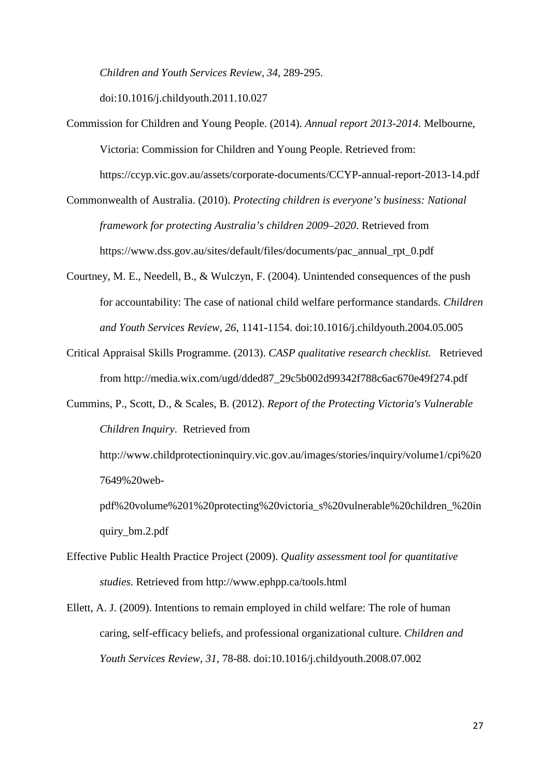*Children and Youth Services Review, 34*, 289-295.

doi:10.1016/j.childyouth.2011.10.027

Commission for Children and Young People. (2014). *Annual report 2013-2014.* Melbourne, Victoria: Commission for Children and Young People. Retrieved from:

https://ccyp.vic.gov.au/assets/corporate-documents/CCYP-annual-report-2013-14.pdf

- Commonwealth of Australia. (2010). *Protecting children is everyone's business: National framework for protecting Australia's children 2009–2020*. Retrieved from https://www.dss.gov.au/sites/default/files/documents/pac\_annual\_rpt\_0.pdf
- Courtney, M. E., Needell, B., & Wulczyn, F. (2004). Unintended consequences of the push for accountability: The case of national child welfare performance standards. *Children and Youth Services Review, 26*, 1141-1154. doi:10.1016/j.childyouth.2004.05.005
- Critical Appraisal Skills Programme. (2013). *CASP qualitative research checklist.* Retrieved from http://media.wix.com/ugd/dded87\_29c5b002d99342f788c6ac670e49f274.pdf
- Cummins, P., Scott, D., & Scales, B. (2012). *Report of the Protecting Victoria's Vulnerable Children Inquiry*. Retrieved from

http://www.childprotectioninquiry.vic.gov.au/images/stories/inquiry/volume1/cpi%20 7649%20web-

pdf%20volume%201%20protecting%20victoria\_s%20vulnerable%20children\_%20in quiry\_bm.2.pdf

- Effective Public Health Practice Project (2009). *Quality assessment tool for quantitative studies*. Retrieved from http://www.ephpp.ca/tools.html
- Ellett, A. J. (2009). Intentions to remain employed in child welfare: The role of human caring, self-efficacy beliefs, and professional organizational culture. *Children and Youth Services Review, 31*, 78-88. doi:10.1016/j.childyouth.2008.07.002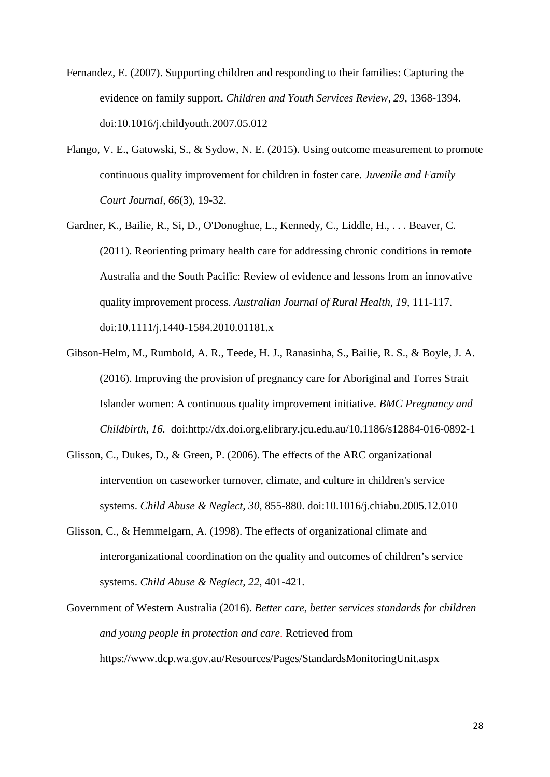- Fernandez, E. (2007). Supporting children and responding to their families: Capturing the evidence on family support. *Children and Youth Services Review, 29*, 1368-1394. doi:10.1016/j.childyouth.2007.05.012
- Flango, V. E., Gatowski, S., & Sydow, N. E. (2015). Using outcome measurement to promote continuous quality improvement for children in foster care. *Juvenile and Family Court Journal, 66*(3), 19-32.
- Gardner, K., Bailie, R., Si, D., O'Donoghue, L., Kennedy, C., Liddle, H., . . . Beaver, C. (2011). Reorienting primary health care for addressing chronic conditions in remote Australia and the South Pacific: Review of evidence and lessons from an innovative quality improvement process. *Australian Journal of Rural Health, 19*, 111-117. doi:10.1111/j.1440-1584.2010.01181.x
- Gibson-Helm, M., Rumbold, A. R., Teede, H. J., Ranasinha, S., Bailie, R. S., & Boyle, J. A. (2016). Improving the provision of pregnancy care for Aboriginal and Torres Strait Islander women: A continuous quality improvement initiative. *BMC Pregnancy and Childbirth, 16.* doi:http://dx.doi.org.elibrary.jcu.edu.au/10.1186/s12884-016-0892-1
- Glisson, C., Dukes, D., & Green, P. (2006). The effects of the ARC organizational intervention on caseworker turnover, climate, and culture in children's service systems. *Child Abuse & Neglect, 30*, 855-880. doi:10.1016/j.chiabu.2005.12.010
- Glisson, C., & Hemmelgarn, A. (1998). The effects of organizational climate and interorganizational coordination on the quality and outcomes of children's service systems. *Child Abuse & Neglect, 22*, 401-421.
- Government of Western Australia (2016). *Better care, better services standards for children and young people in protection and care*. Retrieved from https://www.dcp.wa.gov.au/Resources/Pages/StandardsMonitoringUnit.aspx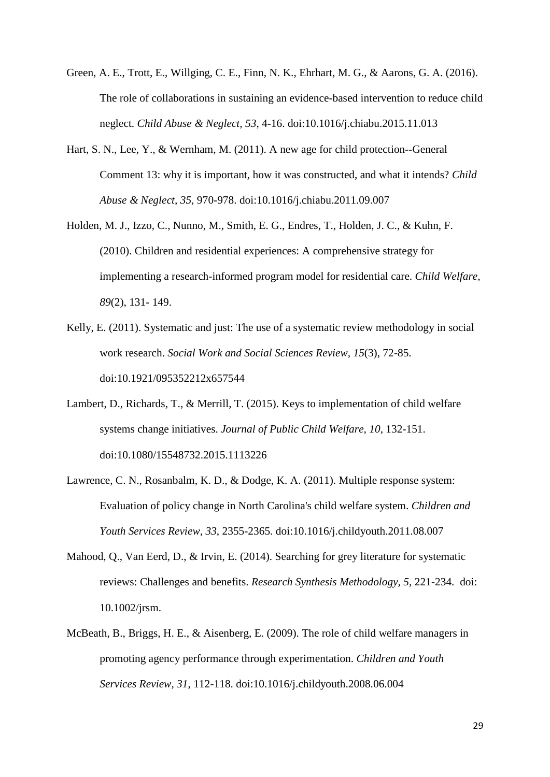- Green, A. E., Trott, E., Willging, C. E., Finn, N. K., Ehrhart, M. G., & Aarons, G. A. (2016). The role of collaborations in sustaining an evidence-based intervention to reduce child neglect. *Child Abuse & Neglect, 53*, 4-16. doi:10.1016/j.chiabu.2015.11.013
- Hart, S. N., Lee, Y., & Wernham, M. (2011). A new age for child protection--General Comment 13: why it is important, how it was constructed, and what it intends? *Child Abuse & Neglect, 35*, 970-978. doi:10.1016/j.chiabu.2011.09.007
- Holden, M. J., Izzo, C., Nunno, M., Smith, E. G., Endres, T., Holden, J. C., & Kuhn, F. (2010). Children and residential experiences: A comprehensive strategy for implementing a research-informed program model for residential care. *Child Welfare, 89*(2), 131- 149.
- Kelly, E. (2011). Systematic and just: The use of a systematic review methodology in social work research. *Social Work and Social Sciences Review, 15*(3), 72-85. doi:10.1921/095352212x657544
- Lambert, D., Richards, T., & Merrill, T. (2015). Keys to implementation of child welfare systems change initiatives. *Journal of Public Child Welfare, 10*, 132-151. doi:10.1080/15548732.2015.1113226
- Lawrence, C. N., Rosanbalm, K. D., & Dodge, K. A. (2011). Multiple response system: Evaluation of policy change in North Carolina's child welfare system. *Children and Youth Services Review, 33*, 2355-2365. doi:10.1016/j.childyouth.2011.08.007
- Mahood, Q., Van Eerd, D., & Irvin, E. (2014). Searching for grey literature for systematic reviews: Challenges and benefits. *Research Synthesis Methodology, 5*, 221-234. doi: 10.1002/jrsm.
- McBeath, B., Briggs, H. E., & Aisenberg, E. (2009). The role of child welfare managers in promoting agency performance through experimentation. *Children and Youth Services Review, 31*, 112-118. doi:10.1016/j.childyouth.2008.06.004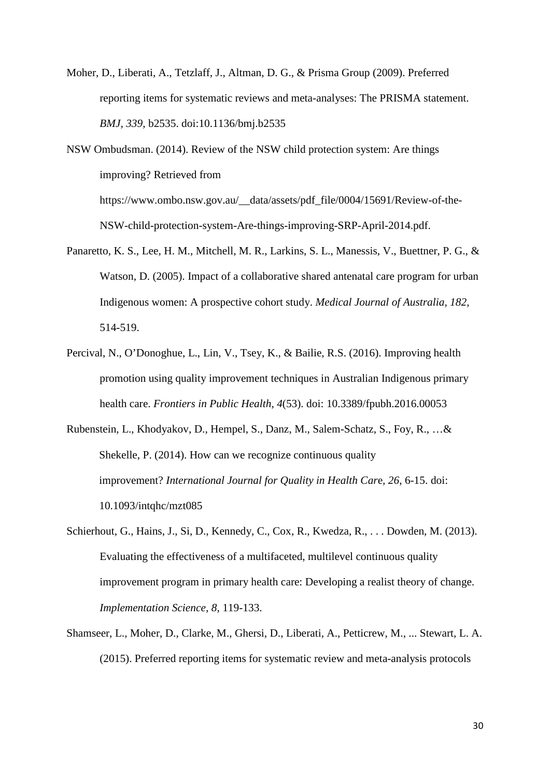- Moher, D., Liberati, A., Tetzlaff, J., Altman, D. G., & Prisma Group (2009). Preferred reporting items for systematic reviews and meta-analyses: The PRISMA statement. *BMJ, 339*, b2535. doi:10.1136/bmj.b2535
- NSW Ombudsman. (2014). Review of the NSW child protection system: Are things improving? Retrieved from https://www.ombo.nsw.gov.au/\_\_data/assets/pdf\_file/0004/15691/Review-of-the-NSW-child-protection-system-Are-things-improving-SRP-April-2014.pdf.
- Panaretto, K. S., Lee, H. M., Mitchell, M. R., Larkins, S. L., Manessis, V., Buettner, P. G., & Watson, D. (2005). Impact of a collaborative shared antenatal care program for urban Indigenous women: A prospective cohort study. *Medical Journal of Australia, 182*, 514-519.
- Percival, N., O'Donoghue, L., Lin, V., Tsey, K., & Bailie, R.S. (2016). Improving health promotion using quality improvement techniques in Australian Indigenous primary health care. *Frontiers in Public Health, 4*(53). doi: 10.3389/fpubh.2016.00053
- Rubenstein, L., Khodyakov, D., Hempel, S., Danz, M., Salem-Schatz, S., Foy, R., …& Shekelle, P. (2014). How can we recognize continuous quality improvement? *International Journal for Quality in Health Car*e*, 26*, 6-15. doi: 10.1093/intqhc/mzt085
- Schierhout, G., Hains, J., Si, D., Kennedy, C., Cox, R., Kwedza, R., . . . Dowden, M. (2013). Evaluating the effectiveness of a multifaceted, multilevel continuous quality improvement program in primary health care: Developing a realist theory of change. *Implementation Science, 8*, 119-133.
- Shamseer, L., Moher, D., Clarke, M., Ghersi, D., Liberati, A., Petticrew, M., ... Stewart, L. A. (2015). Preferred reporting items for systematic review and meta-analysis protocols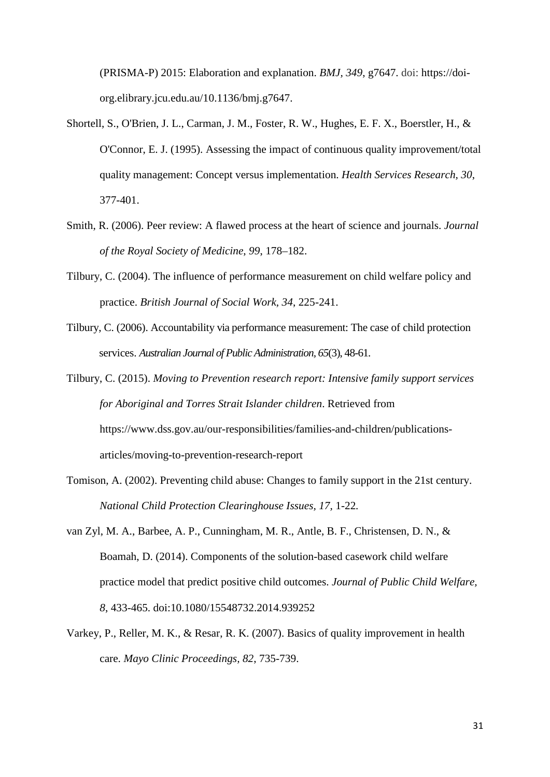(PRISMA-P) 2015: Elaboration and explanation. *BMJ, 349*, g7647. doi: https://doiorg.elibrary.jcu.edu.au/10.1136/bmj.g7647.

- Shortell, S., O'Brien, J. L., Carman, J. M., Foster, R. W., Hughes, E. F. X., Boerstler, H., & O'Connor, E. J. (1995). Assessing the impact of continuous quality improvement/total quality management: Concept versus implementation. *Health Services Research, 30*, 377-401.
- Smith, R. (2006). Peer review: A flawed process at the heart of science and journals. *Journal of the Royal Society of Medicine*, *99*, 178–182.
- Tilbury, C. (2004). The influence of performance measurement on child welfare policy and practice. *British Journal of Social Work, 34*, 225-241.
- Tilbury, C. (2006). Accountability via performance measurement: The case of child protection services. *Australian Journal of Public Administration, 65*(3), 48-61.
- Tilbury, C. (2015). *Moving to Prevention research report: Intensive family support services for Aboriginal and Torres Strait Islander children*. Retrieved from https://www.dss.gov.au/our-responsibilities/families-and-children/publicationsarticles/moving-to-prevention-research-report
- Tomison, A. (2002). Preventing child abuse: Changes to family support in the 21st century. *National Child Protection Clearinghouse Issues, 17,* 1-22*.*
- van Zyl, M. A., Barbee, A. P., Cunningham, M. R., Antle, B. F., Christensen, D. N., & Boamah, D. (2014). Components of the solution-based casework child welfare practice model that predict positive child outcomes. *Journal of Public Child Welfare, 8*, 433-465. doi:10.1080/15548732.2014.939252
- Varkey, P., Reller, M. K., & Resar, R. K. (2007). Basics of quality improvement in health care. *Mayo Clinic Proceedings, 82*, 735-739.